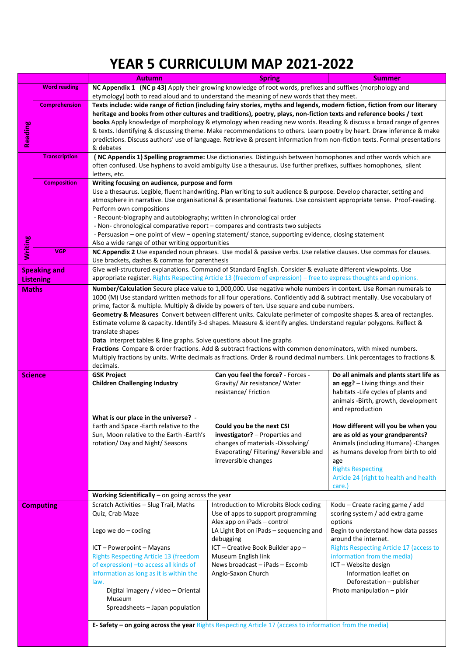## **YEAR 5 CURRICULUM MAP 2021-2022**

|                     |                      | Autumn                                                                                                                                                                                                                                             | <b>Spring</b>                                                                                                                                                                                                                              | <b>Summer</b>                                                                 |  |  |  |  |  |  |
|---------------------|----------------------|----------------------------------------------------------------------------------------------------------------------------------------------------------------------------------------------------------------------------------------------------|--------------------------------------------------------------------------------------------------------------------------------------------------------------------------------------------------------------------------------------------|-------------------------------------------------------------------------------|--|--|--|--|--|--|
|                     | <b>Word reading</b>  | NC Appendix 1 (NC p 43) Apply their growing knowledge of root words, prefixes and suffixes (morphology and<br>etymology) both to read aloud and to understand the meaning of new words that they meet.                                             |                                                                                                                                                                                                                                            |                                                                               |  |  |  |  |  |  |
|                     | <b>Comprehension</b> | Texts include: wide range of fiction (including fairy stories, myths and legends, modern fiction, fiction from our literary<br>heritage and books from other cultures and traditions), poetry, plays, non-fiction texts and reference books / text |                                                                                                                                                                                                                                            |                                                                               |  |  |  |  |  |  |
|                     |                      |                                                                                                                                                                                                                                                    | books Apply knowledge of morphology & etymology when reading new words. Reading & discuss a broad range of genres<br>& texts. Identifying & discussing theme. Make recommendations to others. Learn poetry by heart. Draw inference & make |                                                                               |  |  |  |  |  |  |
| Reading             |                      | predictions. Discuss authors' use of language. Retrieve & present information from non-fiction texts. Formal presentations                                                                                                                         |                                                                                                                                                                                                                                            |                                                                               |  |  |  |  |  |  |
|                     | <b>Transcription</b> | & debates<br>(NC Appendix 1) Spelling programme: Use dictionaries. Distinguish between homophones and other words which are                                                                                                                        |                                                                                                                                                                                                                                            |                                                                               |  |  |  |  |  |  |
|                     |                      | often confused. Use hyphens to avoid ambiguity Use a thesaurus. Use further prefixes, suffixes homophones, silent<br>letters, etc.                                                                                                                 |                                                                                                                                                                                                                                            |                                                                               |  |  |  |  |  |  |
|                     | <b>Composition</b>   | Writing focusing on audience, purpose and form                                                                                                                                                                                                     |                                                                                                                                                                                                                                            |                                                                               |  |  |  |  |  |  |
|                     |                      | Use a thesaurus. Legible, fluent handwriting. Plan writing to suit audience & purpose. Develop character, setting and<br>atmosphere in narrative. Use organisational & presentational features. Use consistent appropriate tense. Proof-reading.   |                                                                                                                                                                                                                                            |                                                                               |  |  |  |  |  |  |
|                     |                      | Perform own compositions<br>- Recount-biography and autobiography; written in chronological order                                                                                                                                                  |                                                                                                                                                                                                                                            |                                                                               |  |  |  |  |  |  |
|                     |                      | - Non-chronological comparative report - compares and contrasts two subjects                                                                                                                                                                       |                                                                                                                                                                                                                                            |                                                                               |  |  |  |  |  |  |
|                     |                      |                                                                                                                                                                                                                                                    | - Persuasion – one point of view – opening statement/ stance, supporting evidence, closing statement                                                                                                                                       |                                                                               |  |  |  |  |  |  |
| Writing             | <b>VGP</b>           | Also a wide range of other writing opportunities                                                                                                                                                                                                   |                                                                                                                                                                                                                                            |                                                                               |  |  |  |  |  |  |
|                     |                      | Use brackets, dashes & commas for parenthesis                                                                                                                                                                                                      | NC Appendix 2 Use expanded noun phrases. Use modal & passive verbs. Use relative clauses. Use commas for clauses.                                                                                                                          |                                                                               |  |  |  |  |  |  |
| <b>Speaking and</b> |                      | Give well-structured explanations. Command of Standard English. Consider & evaluate different viewpoints. Use                                                                                                                                      |                                                                                                                                                                                                                                            |                                                                               |  |  |  |  |  |  |
| <b>Listening</b>    |                      | appropriate register. Rights Respecting Article 13 (freedom of expression) - free to express thoughts and opinions.                                                                                                                                |                                                                                                                                                                                                                                            |                                                                               |  |  |  |  |  |  |
| <b>Maths</b>        |                      | Number/Calculation Secure place value to 1,000,000. Use negative whole numbers in context. Use Roman numerals to<br>1000 (M) Use standard written methods for all four operations. Confidently add & subtract mentally. Use vocabulary of          |                                                                                                                                                                                                                                            |                                                                               |  |  |  |  |  |  |
|                     |                      | prime, factor & multiple. Multiply & divide by powers of ten. Use square and cube numbers.                                                                                                                                                         |                                                                                                                                                                                                                                            |                                                                               |  |  |  |  |  |  |
|                     |                      | Geometry & Measures Convert between different units. Calculate perimeter of composite shapes & area of rectangles.<br>Estimate volume & capacity. Identify 3-d shapes. Measure & identify angles. Understand regular polygons. Reflect &           |                                                                                                                                                                                                                                            |                                                                               |  |  |  |  |  |  |
|                     |                      | translate shapes                                                                                                                                                                                                                                   |                                                                                                                                                                                                                                            |                                                                               |  |  |  |  |  |  |
|                     |                      | Data Interpret tables & line graphs. Solve questions about line graphs<br>Fractions Compare & order fractions. Add & subtract fractions with common denominators, with mixed numbers.                                                              |                                                                                                                                                                                                                                            |                                                                               |  |  |  |  |  |  |
|                     |                      | Multiply fractions by units. Write decimals as fractions. Order & round decimal numbers. Link percentages to fractions &<br>decimals.                                                                                                              |                                                                                                                                                                                                                                            |                                                                               |  |  |  |  |  |  |
| <b>Science</b>      |                      | <b>GSK Project</b>                                                                                                                                                                                                                                 | Can you feel the force? - Forces -                                                                                                                                                                                                         | Do all animals and plants start life as                                       |  |  |  |  |  |  |
|                     |                      | <b>Children Challenging Industry</b>                                                                                                                                                                                                               | Gravity/Air resistance/Water<br>resistance/ Friction                                                                                                                                                                                       | an egg? - Living things and their<br>habitats - Life cycles of plants and     |  |  |  |  |  |  |
|                     |                      |                                                                                                                                                                                                                                                    |                                                                                                                                                                                                                                            | animals -Birth, growth, development<br>and reproduction                       |  |  |  |  |  |  |
|                     |                      | What is our place in the universe?<br>Earth and Space -Earth relative to the                                                                                                                                                                       | Could you be the next CSI                                                                                                                                                                                                                  | How different will you be when you                                            |  |  |  |  |  |  |
|                     |                      | Sun, Moon relative to the Earth -Earth's                                                                                                                                                                                                           | investigator? - Properties and                                                                                                                                                                                                             | are as old as your grandparents?                                              |  |  |  |  |  |  |
|                     |                      | rotation/ Day and Night/ Seasons                                                                                                                                                                                                                   | changes of materials -Dissolving/                                                                                                                                                                                                          | Animals (including Humans) - Changes                                          |  |  |  |  |  |  |
|                     |                      |                                                                                                                                                                                                                                                    | Evaporating/ Filtering/ Reversible and                                                                                                                                                                                                     | as humans develop from birth to old                                           |  |  |  |  |  |  |
|                     |                      |                                                                                                                                                                                                                                                    | irreversible changes                                                                                                                                                                                                                       | age<br><b>Rights Respecting</b>                                               |  |  |  |  |  |  |
|                     |                      |                                                                                                                                                                                                                                                    |                                                                                                                                                                                                                                            | Article 24 (right to health and health                                        |  |  |  |  |  |  |
|                     |                      |                                                                                                                                                                                                                                                    |                                                                                                                                                                                                                                            | care.)                                                                        |  |  |  |  |  |  |
|                     |                      | Working Scientifically $-$ on going across the year                                                                                                                                                                                                |                                                                                                                                                                                                                                            |                                                                               |  |  |  |  |  |  |
| <b>Computing</b>    |                      | Scratch Activities - Slug Trail, Maths<br>Quiz, Crab Maze                                                                                                                                                                                          | Introduction to Microbits Block coding<br>Kodu - Create racing game / add<br>Use of apps to support programming<br>scoring system / add extra game<br>Alex app on iPads - control                                                          |                                                                               |  |  |  |  |  |  |
|                     |                      | Lego we do $-$ coding                                                                                                                                                                                                                              | LA Light Bot on iPads - sequencing and<br>debugging                                                                                                                                                                                        | options<br>Begin to understand how data passes<br>around the internet.        |  |  |  |  |  |  |
|                     |                      | ICT - Powerpoint - Mayans                                                                                                                                                                                                                          | ICT - Creative Book Builder app -<br>Museum English link                                                                                                                                                                                   | <b>Rights Respecting Article 17 (access to</b><br>information from the media) |  |  |  |  |  |  |
|                     |                      | <b>Rights Respecting Article 13 (freedom</b>                                                                                                                                                                                                       |                                                                                                                                                                                                                                            |                                                                               |  |  |  |  |  |  |
|                     |                      | of expression) - to access all kinds of<br>information as long as it is within the                                                                                                                                                                 | News broadcast - iPads - Escomb<br>ICT - Website design<br>Information leaflet on<br>Anglo-Saxon Church                                                                                                                                    |                                                                               |  |  |  |  |  |  |
|                     |                      | law.<br>Digital imagery / video - Oriental                                                                                                                                                                                                         | Deforestation - publisher<br>Photo manipulation - pixir                                                                                                                                                                                    |                                                                               |  |  |  |  |  |  |
|                     |                      | Museum<br>Spreadsheets - Japan population                                                                                                                                                                                                          |                                                                                                                                                                                                                                            |                                                                               |  |  |  |  |  |  |
|                     |                      | <b>E-Safety - on going across the year Rights Respecting Article 17 (access to information from the media)</b>                                                                                                                                     |                                                                                                                                                                                                                                            |                                                                               |  |  |  |  |  |  |
|                     |                      |                                                                                                                                                                                                                                                    |                                                                                                                                                                                                                                            |                                                                               |  |  |  |  |  |  |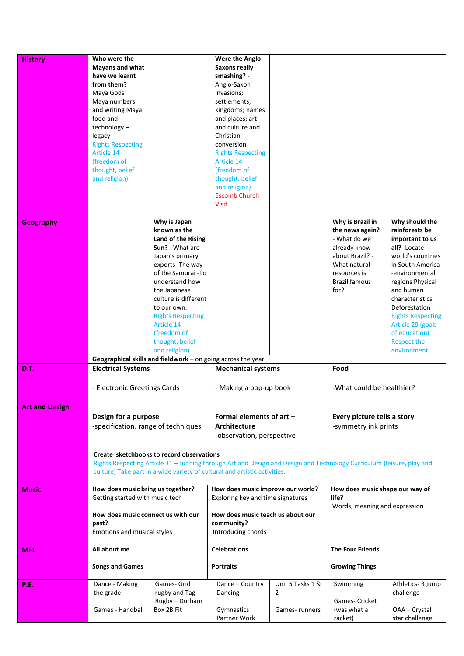| <b>History</b>        | Who were the                        |                                                                               | Were the Anglo-                                                                                                       |                  |                                 |                                 |
|-----------------------|-------------------------------------|-------------------------------------------------------------------------------|-----------------------------------------------------------------------------------------------------------------------|------------------|---------------------------------|---------------------------------|
|                       | <b>Mayans and what</b>              |                                                                               | <b>Saxons really</b>                                                                                                  |                  |                                 |                                 |
|                       | have we learnt                      |                                                                               | smashing? -                                                                                                           |                  |                                 |                                 |
|                       | from them?                          |                                                                               | Anglo-Saxon                                                                                                           |                  |                                 |                                 |
|                       | Maya Gods                           |                                                                               | invasions;                                                                                                            |                  |                                 |                                 |
|                       | Maya numbers                        |                                                                               | settlements;                                                                                                          |                  |                                 |                                 |
|                       | and writing Maya                    |                                                                               | kingdoms; names                                                                                                       |                  |                                 |                                 |
|                       | food and                            |                                                                               | and places; art                                                                                                       |                  |                                 |                                 |
|                       | technology-                         |                                                                               | and culture and                                                                                                       |                  |                                 |                                 |
|                       | legacy                              |                                                                               | Christian                                                                                                             |                  |                                 |                                 |
|                       | <b>Rights Respecting</b>            |                                                                               | conversion                                                                                                            |                  |                                 |                                 |
|                       | <b>Article 14</b>                   |                                                                               | <b>Rights Respecting</b>                                                                                              |                  |                                 |                                 |
|                       | (freedom of                         |                                                                               | Article 14                                                                                                            |                  |                                 |                                 |
|                       | thought, belief                     |                                                                               | (freedom of                                                                                                           |                  |                                 |                                 |
|                       | and religion)                       |                                                                               | thought, belief                                                                                                       |                  |                                 |                                 |
|                       |                                     |                                                                               | and religion)                                                                                                         |                  |                                 |                                 |
|                       |                                     |                                                                               | <b>Escomb Church</b>                                                                                                  |                  |                                 |                                 |
|                       |                                     |                                                                               | <b>Visit</b>                                                                                                          |                  |                                 |                                 |
|                       |                                     |                                                                               |                                                                                                                       |                  | Why is Brazil in                | Why should the                  |
| <b>Geography</b>      |                                     | Why is Japan<br>known as the                                                  |                                                                                                                       |                  | the news again?                 | rainforests be                  |
|                       |                                     | Land of the Rising                                                            |                                                                                                                       |                  | - What do we                    | important to us                 |
|                       |                                     | Sun? - What are                                                               |                                                                                                                       |                  | already know                    | all? - Locate                   |
|                       |                                     | Japan's primary                                                               |                                                                                                                       |                  | about Brazil? -                 | world's countries               |
|                       |                                     | exports - The way                                                             |                                                                                                                       |                  | What natural                    | in South America                |
|                       |                                     | of the Samurai -To                                                            |                                                                                                                       |                  | resources is                    | -environmental                  |
|                       |                                     | understand how                                                                |                                                                                                                       |                  | <b>Brazil famous</b>            | regions Physical                |
|                       |                                     | the Japanese                                                                  |                                                                                                                       |                  | for?                            | and human                       |
|                       |                                     | culture is different                                                          |                                                                                                                       |                  |                                 | characteristics                 |
|                       |                                     | to our own.                                                                   |                                                                                                                       |                  |                                 | Deforestation                   |
|                       |                                     | <b>Rights Respecting</b>                                                      |                                                                                                                       |                  |                                 | <b>Rights Respecting</b>        |
|                       |                                     | Article 14                                                                    |                                                                                                                       |                  |                                 | Article 29 (goals               |
|                       |                                     | (freedom of                                                                   |                                                                                                                       |                  |                                 | of education)                   |
|                       |                                     | thought, belief                                                               |                                                                                                                       |                  |                                 | <b>Respect the</b>              |
|                       |                                     |                                                                               |                                                                                                                       |                  |                                 | environment.                    |
|                       |                                     |                                                                               |                                                                                                                       |                  |                                 |                                 |
|                       |                                     | and religion)<br>Geographical skills and fieldwork - on going across the year |                                                                                                                       |                  |                                 |                                 |
| D.T.                  | <b>Electrical Systems</b>           |                                                                               | <b>Mechanical systems</b>                                                                                             |                  | Food                            |                                 |
|                       |                                     |                                                                               |                                                                                                                       |                  |                                 |                                 |
|                       | - Electronic Greetings Cards        |                                                                               | - Making a pop-up book                                                                                                |                  | -What could be healthier?       |                                 |
|                       |                                     |                                                                               |                                                                                                                       |                  |                                 |                                 |
| <b>Art and Design</b> |                                     |                                                                               |                                                                                                                       |                  |                                 |                                 |
|                       | Design for a purpose                |                                                                               | Formal elements of art -                                                                                              |                  | Every picture tells a story     |                                 |
|                       | -specification, range of techniques |                                                                               | <b>Architecture</b>                                                                                                   |                  | -symmetry ink prints            |                                 |
|                       |                                     |                                                                               |                                                                                                                       |                  |                                 |                                 |
|                       |                                     |                                                                               | -observation, perspective                                                                                             |                  |                                 |                                 |
|                       |                                     | Create sketchbooks to record observations                                     |                                                                                                                       |                  |                                 |                                 |
|                       |                                     |                                                                               | Rights Respecting Article 31 - running through Art and Design and Design and Technology Curriculum (leisure, play and |                  |                                 |                                 |
|                       |                                     |                                                                               | culture) Take part in a wide variety of cultural and artistic activities.                                             |                  |                                 |                                 |
|                       |                                     |                                                                               |                                                                                                                       |                  |                                 |                                 |
| Music                 | How does music bring us together?   |                                                                               | How does music improve our world?                                                                                     |                  | How does music shape our way of |                                 |
|                       | Getting started with music tech     |                                                                               | Exploring key and time signatures                                                                                     |                  | life?                           |                                 |
|                       |                                     |                                                                               |                                                                                                                       |                  | Words, meaning and expression   |                                 |
|                       | How does music connect us with our  |                                                                               | How does music teach us about our                                                                                     |                  |                                 |                                 |
|                       | past?                               |                                                                               | community?                                                                                                            |                  |                                 |                                 |
|                       | Emotions and musical styles         |                                                                               | Introducing chords                                                                                                    |                  |                                 |                                 |
| MFL                   | All about me                        |                                                                               | <b>Celebrations</b>                                                                                                   |                  | <b>The Four Friends</b>         |                                 |
|                       |                                     |                                                                               |                                                                                                                       |                  |                                 |                                 |
|                       | <b>Songs and Games</b>              |                                                                               | <b>Portraits</b>                                                                                                      |                  | <b>Growing Things</b>           |                                 |
|                       |                                     |                                                                               |                                                                                                                       |                  |                                 |                                 |
| <b>P.E.</b>           | Dance - Making                      | Games- Grid                                                                   | Dance - Country                                                                                                       | Unit 5 Tasks 1 & | Swimming                        | Athletics- 3 jump               |
|                       | the grade                           | rugby and Tag                                                                 | Dancing                                                                                                               | $\overline{2}$   |                                 | challenge                       |
|                       |                                     | Rugby - Durham                                                                |                                                                                                                       |                  | Games- Cricket                  |                                 |
|                       | Games - Handball                    | Box 2B Fit                                                                    | Gymnastics<br>Partner Work                                                                                            | Games-runners    | (was what a<br>racket)          | OAA - Crystal<br>star challenge |